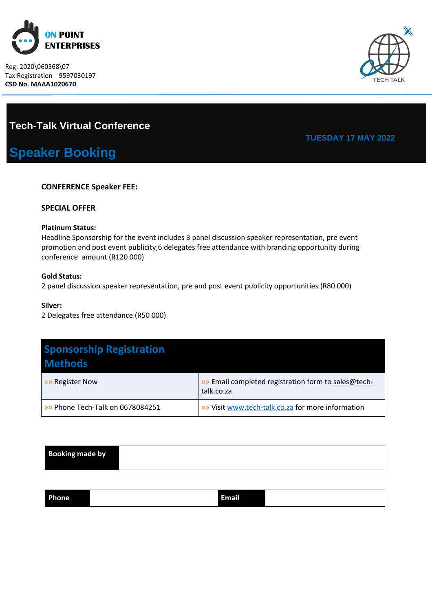

[Type here] Reg: 2020\060368\07 Tax Registration 9597030197 **CSD No. MAAA1020670**



## **Tech-Talk Virtual Conference**

# **Speaker Booking**

### **CONFERENCE Speaker FEE:**

#### **SPECIAL OFFER**

#### **Platinum Status:**

Headline Sponsorship for the event includes 3 panel discussion speaker representation, pre event promotion and post event publicity,6 delegates free attendance with branding opportunity during conference amount (R120 000)

#### **Gold Status:**

2 panel discussion speaker representation, pre and post event publicity opportunities (R80 000)

#### **Silver:**

2 Delegates free attendance (R50 000)

| <b>Sponsorship Registration</b><br><b>Methods</b> |                                                                   |
|---------------------------------------------------|-------------------------------------------------------------------|
| »» Register Now                                   | »» Email completed registration form to sales@tech-<br>talk.co.za |
| »» Phone Tech-Talk on 0678084251                  | <b>»</b> Visit www.tech-talk.co.za for more information           |

| <b>Booking made by</b> |  |
|------------------------|--|
|                        |  |

| . .<br>Ph<br>one<br>. .<br>. |
|------------------------------|
|------------------------------|

## **TUESDAY 17 MAY 2022**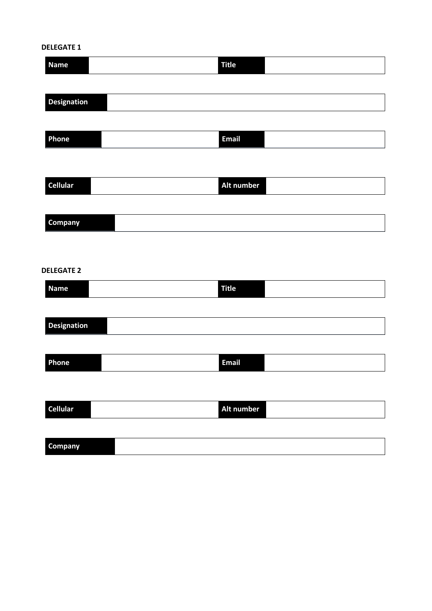## **DELEGATE 1**

| <b>Name</b>        | <b>Title</b> |
|--------------------|--------------|
| <b>Designation</b> |              |
|                    |              |
| Phone              | <b>Email</b> |
|                    |              |
| <b>Cellular</b>    | Alt number   |
| Company            |              |
|                    |              |
| <b>DELEGATE 2</b>  |              |
| <b>Name</b>        | <b>Title</b> |
| <b>Designation</b> |              |
|                    |              |
| Phone              | <b>Email</b> |
|                    |              |
| <b>Cellular</b>    | Alt number   |
| Company            |              |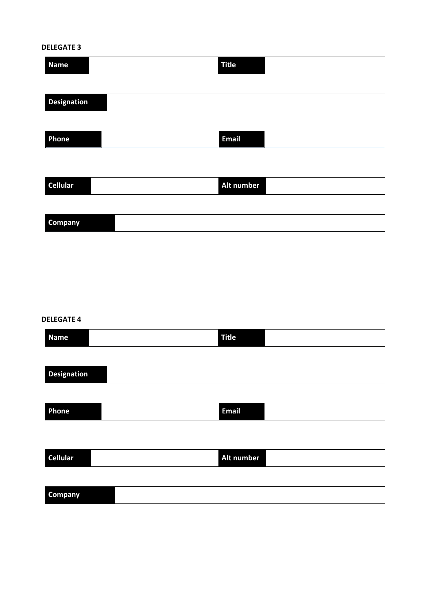## **DELEGATE 3**

| <b>Name</b>        | <b>Title</b> |
|--------------------|--------------|
|                    |              |
| <b>Designation</b> |              |
|                    |              |
| Phone              | <b>Email</b> |
|                    |              |
| <b>Cellular</b>    | Alt number   |
|                    |              |
| <b>Company</b>     |              |

#### **DELEGATE 4**

| <b>Name</b>        | <b>Title</b> |
|--------------------|--------------|
|                    |              |
| <b>Designation</b> |              |
|                    |              |
| Phone              | <b>Email</b> |
|                    |              |
|                    |              |
| <b>Cellular</b>    | Alt number   |
|                    |              |
| Company            |              |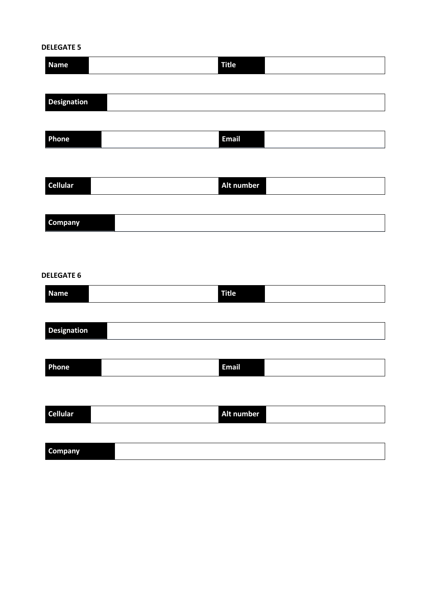## **DELEGATE 5**

| <b>Name</b>                      | <b>Title</b> |
|----------------------------------|--------------|
|                                  |              |
| <b>Designation</b>               |              |
| Phone                            | Email        |
|                                  |              |
| <b>Cellular</b>                  | Alt number   |
|                                  |              |
| Company                          |              |
|                                  |              |
|                                  |              |
| <b>DELEGATE 6</b><br><b>Name</b> | <b>Title</b> |
|                                  |              |
| <b>Designation</b>               |              |
|                                  |              |
| Phone                            | <b>Email</b> |
|                                  |              |
| <b>Cellular</b>                  | Alt number   |
|                                  |              |

**Company**